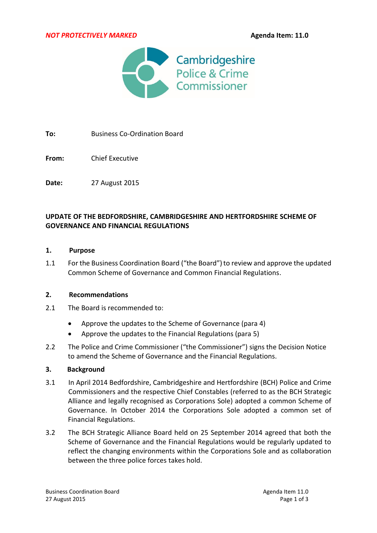*NOT PROTECTIVELY MARKED* **Agenda Item: 11.0**



**To:** Business Co-Ordination Board

**From:** Chief Executive

**Date:** 27 August 2015

### **UPDATE OF THE BEDFORDSHIRE, CAMBRIDGESHIRE AND HERTFORDSHIRE SCHEME OF GOVERNANCE AND FINANCIAL REGULATIONS**

### **1. Purpose**

1.1 For the Business Coordination Board ("the Board")to review and approve the updated Common Scheme of Governance and Common Financial Regulations.

### **2. Recommendations**

- 2.1 The Board is recommended to:
	- Approve the updates to the Scheme of Governance (para 4)
	- Approve the updates to the Financial Regulations (para 5)
- 2.2 The Police and Crime Commissioner ("the Commissioner") signs the Decision Notice to amend the Scheme of Governance and the Financial Regulations.

### **3. Background**

- 3.1 In April 2014 Bedfordshire, Cambridgeshire and Hertfordshire (BCH) Police and Crime Commissioners and the respective Chief Constables (referred to as the BCH Strategic Alliance and legally recognised as Corporations Sole) adopted a common Scheme of Governance. In October 2014 the Corporations Sole adopted a common set of Financial Regulations.
- 3.2 The BCH Strategic Alliance Board held on 25 September 2014 agreed that both the Scheme of Governance and the Financial Regulations would be regularly updated to reflect the changing environments within the Corporations Sole and as collaboration between the three police forces takes hold.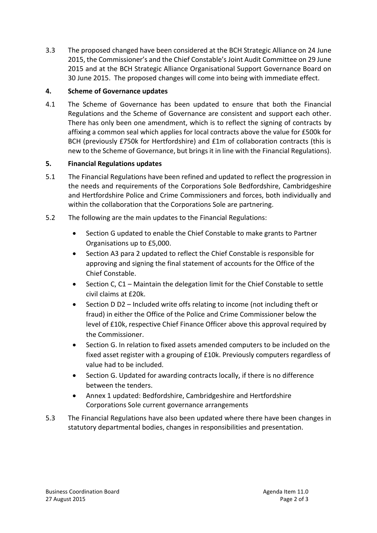3.3 The proposed changed have been considered at the BCH Strategic Alliance on 24 June 2015, the Commissioner's and the Chief Constable's Joint Audit Committee on 29 June 2015 and at the BCH Strategic Alliance Organisational Support Governance Board on 30 June 2015. The proposed changes will come into being with immediate effect.

## **4. Scheme of Governance updates**

4.1 The Scheme of Governance has been updated to ensure that both the Financial Regulations and the Scheme of Governance are consistent and support each other. There has only been one amendment, which is to reflect the signing of contracts by affixing a common seal which applies for local contracts above the value for £500k for BCH (previously £750k for Hertfordshire) and £1m of collaboration contracts (this is new to the Scheme of Governance, but brings it in line with the Financial Regulations).

# **5. Financial Regulations updates**

- 5.1 The Financial Regulations have been refined and updated to reflect the progression in the needs and requirements of the Corporations Sole Bedfordshire, Cambridgeshire and Hertfordshire Police and Crime Commissioners and forces, both individually and within the collaboration that the Corporations Sole are partnering.
- 5.2 The following are the main updates to the Financial Regulations:
	- Section G updated to enable the Chief Constable to make grants to Partner Organisations up to £5,000.
	- Section A3 para 2 updated to reflect the Chief Constable is responsible for approving and signing the final statement of accounts for the Office of the Chief Constable.
	- Section C, C1 Maintain the delegation limit for the Chief Constable to settle civil claims at £20k.
	- Section D D2 Included write offs relating to income (not including theft or fraud) in either the Office of the Police and Crime Commissioner below the level of £10k, respective Chief Finance Officer above this approval required by the Commissioner.
	- Section G. In relation to fixed assets amended computers to be included on the fixed asset register with a grouping of £10k. Previously computers regardless of value had to be included.
	- Section G. Updated for awarding contracts locally, if there is no difference between the tenders.
	- Annex 1 updated: Bedfordshire, Cambridgeshire and Hertfordshire Corporations Sole current governance arrangements
- 5.3 The Financial Regulations have also been updated where there have been changes in statutory departmental bodies, changes in responsibilities and presentation.